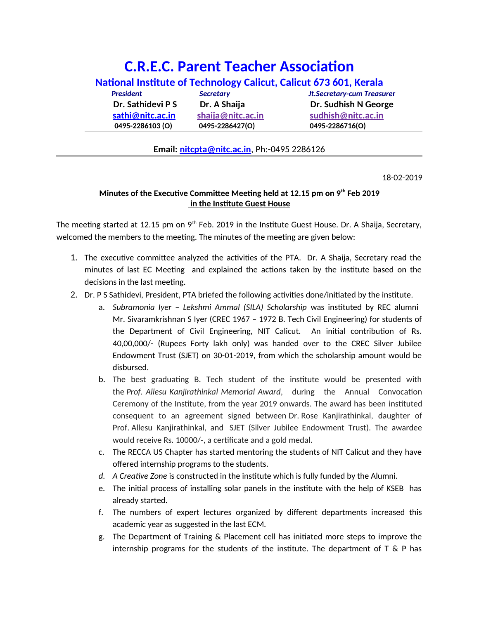## **C.R.E.C. Parent Teacher Association**

| National Institute of Technology Calicut, Calicut 673 601, Kerala |                   |                                   |
|-------------------------------------------------------------------|-------------------|-----------------------------------|
| <b>President</b>                                                  | <b>Secretary</b>  | <b>Jt.Secretary-cum Treasurer</b> |
| Dr. Sathidevi P S                                                 | Dr. A Shaija      | Dr. Sudhish N George              |
| sathi@nitc.ac.in                                                  | shaija@nitc.ac.in | sudhish@nitc.ac.in                |
| 0495-2286103(O)                                                   | 0495-2286427(O)   | 0495-2286716(O)                   |

## **Email: [nitcpta@nitc.ac.in](mailto:nitcpta@nitc.ac.in)**, Ph:-0495 2286126

18-02-2019

## **Minutes of the Executive Committee Meeting held at 12.15 pm on 9th Feb 2019 in the Institute Guest House**

The meeting started at 12.15 pm on  $9<sup>th</sup>$  Feb. 2019 in the Institute Guest House. Dr. A Shaija, Secretary, welcomed the members to the meeting. The minutes of the meeting are given below:

- 1. The executive committee analyzed the activities of the PTA. Dr. A Shaija, Secretary read the minutes of last EC Meeting and explained the actions taken by the institute based on the decisions in the last meeting.
- 2. Dr. P S Sathidevi, President, PTA briefed the following activities done/initiated by the institute.
	- a. *Subramonia Iyer Lekshmi Ammal (SILA) Scholarship* was instituted by REC alumni Mr. Sivaramkrishnan S Iyer (CREC 1967 – 1972 B. Tech Civil Engineering) for students of the Department of Civil Engineering, NIT Calicut. An initial contribution of Rs. 40,00,000/- (Rupees Forty lakh only) was handed over to the CREC Silver Jubilee Endowment Trust (SJET) on 30-01-2019, from which the scholarship amount would be disbursed.
	- b. The best graduating B. Tech student of the institute would be presented with the *Prof. Allesu Kanjirathinkal Memorial Award*, during the Annual Convocation Ceremony of the Institute, from the year 2019 onwards. The award has been instituted consequent to an agreement signed between Dr. Rose Kanjirathinkal, daughter of Prof. Allesu Kanjirathinkal, and SJET (Silver Jubilee Endowment Trust). The awardee would receive Rs. 10000/-, a certificate and a gold medal.
	- c. The RECCA US Chapter has started mentoring the students of NIT Calicut and they have offered internship programs to the students.
	- *d. A Creative Zone* is constructed in the institute which is fully funded by the Alumni.
	- e. The initial process of installing solar panels in the institute with the help of KSEB has already started.
	- f. The numbers of expert lectures organized by different departments increased this academic year as suggested in the last ECM.
	- g. The Department of Training & Placement cell has initiated more steps to improve the internship programs for the students of the institute. The department of T & P has